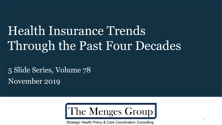# Health Insurance Trends Through the Past Four Decades

5 Slide Series, Volume 78 November 2019



Strategic Health Policy & Care Coordination Consulting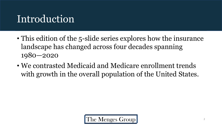## Introduction

- This edition of the 5-slide series explores how the insurance landscape has changed across four decades spanning 1980—2020
- We contrasted Medicaid and Medicare enrollment trends with growth in the overall population of the United States.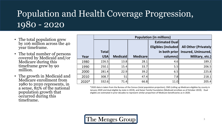### Population and Health Coverage Progression, 1980 - 2020

- The total population grew by 106 million across the 40 year timeframe.
- The total number of persons covered by Medicaid and/or Medicare during this timeframe grew by 90 million.
- The growth in Medicaid and Medicare enrollment from 1980 to 2020 represents, in a sense, 85% of the national population growth that occurred during this timeframe.

|       | <b>Population (in millions)</b> |                 |                 |                       |                              |  |  |  |
|-------|---------------------------------|-----------------|-----------------|-----------------------|------------------------------|--|--|--|
|       |                                 |                 |                 | <b>Estimated Dual</b> |                              |  |  |  |
|       |                                 |                 |                 | Eligibles (included)  | <b>All Other (Privately)</b> |  |  |  |
|       | <b>Total</b>                    |                 |                 | in both prior         | Insured, Uninsured,          |  |  |  |
| Year  | <b>USA</b>                      | <b>Medicaid</b> | <b>Medicare</b> | columns)              | Military, etc.)              |  |  |  |
| 1980  | 226.5                           | 13.8            | 28.1            | 4.6                   | 189.2                        |  |  |  |
| 1990  | 250.1                           | 15.4            | 33.7            | 5.5                   | 206.5                        |  |  |  |
| 2000  | 281.4                           | 22.9            | 39.2            | 6.5                   | 225.8                        |  |  |  |
| 2010  | 308.7                           | 51              | 47.4            | 7.8                   | 218.1                        |  |  |  |
| 2020* | 332.6                           | 71.4            | 66.8            | 11.0                  | 205.4                        |  |  |  |

\*2020 data is taken from the Bureau of the Census (total population projection), CMS (rolling up Medicare eligibles by county in January 2020 and dual eligible by state in 2019), and Kaiser Family Foundation (Medicaid enrollees as of October 2019). Dual eligible are estimated in prior decades to represent similar proportion of Medicare beneficiaries as in 2020.

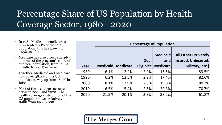#### Percentage Share of US Population by Health Coverage Sector, 1980 - 2020

- In 1980 Medicaid beneficiaries represented 6.1% of the total population; this has grown to 21.5% as of 2020.
- Medicare has also grown sharply in terms of the program's share of our total population, from 12.4% in 1980 to 20.1% in 2020.
- Together, Medicaid and Medicare now cover 38.2% of the US population, way up from 16.5% in 1980.
- Most of these changes occurred between 2000 and 2020. The health coverage distribution of the US population was relatively stable from 1980-2000.

|      | <b>Percentage of Population</b> |                  |                                 |                                           |                                                                        |  |  |  |
|------|---------------------------------|------------------|---------------------------------|-------------------------------------------|------------------------------------------------------------------------|--|--|--|
| Year | <b>Medicaid</b>                 | <b>Medicarel</b> | <b>Dual</b><br><b>Eligibles</b> | <b>Medicaid</b><br>and<br><b>Medicare</b> | <b>All Other (Privately)</b><br>Insured, Uninsured,<br>Military, etc.) |  |  |  |
| 1980 | 6.1%                            | 12.4%            | 2.0%                            | 16.5%                                     | 83.5%                                                                  |  |  |  |
| 1990 | 6.2%                            | 13.5%            | 2.2%                            | 17.4%                                     | 82.6%                                                                  |  |  |  |
| 2000 | 8.1%                            | 13.9%            | 2.3%                            | 19.8%                                     | 80.2%                                                                  |  |  |  |
| 2010 | 16.5%                           | 15.4%            | 2.5%                            | 29.3%                                     | 70.7%                                                                  |  |  |  |
| 2020 | 21.5%                           | 20.1%            | 3.3%                            | 38.2%                                     | 61.8%                                                                  |  |  |  |

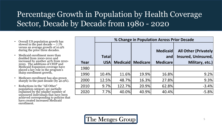#### Percentage Growth in Population by Health Coverage Sector, Decade by Decade from 1980 - 2020

- Overall US population growth has slowed in the past decade -- 7.7% versus an average growth of 10.9% during the prior three decades.
- Medicaid enrollment more than doubled from 2000-2010 and increased by another 40% from 2010- 2020. The additions of CHIP and Medicaid Expansion coverage have played a key role in the program's sharp enrollment growth,
- Medicare enrollment has also grown sharply in the past decade (by 40.9%).
- Reductions in the "All Other" population category are partially explained by the smaller number of uninsured individuals that have been achieved corresponding to policies that have created increased Medicaid enrollment.

|      | % Change in Population Across Prior Decade |                 |                 |                                           |                                                                        |  |  |
|------|--------------------------------------------|-----------------|-----------------|-------------------------------------------|------------------------------------------------------------------------|--|--|
| Year | <b>Totall</b><br><b>USA</b>                | <b>Medicaid</b> | <b>Medicare</b> | <b>Medicaid</b><br>and<br><b>Medicare</b> | <b>All Other (Privately)</b><br>Insured, Uninsured,<br>Military, etc.) |  |  |
| 1980 |                                            |                 |                 |                                           |                                                                        |  |  |
| 1990 | 10.4%                                      | 11.6%           | 19.9%           | 16.8%                                     | 9.2%                                                                   |  |  |
| 2000 | 12.5%                                      | 48.7%           | 16.3%           | 27.8%                                     | 9.3%                                                                   |  |  |
| 2010 | 9.7%                                       | 122.7%          | 20.9%           | 62.8%                                     | $-3.4%$                                                                |  |  |
| 2020 | 7.7%                                       | 40.0%           | 40.9%           | 40.4%                                     | $-5.8%$                                                                |  |  |